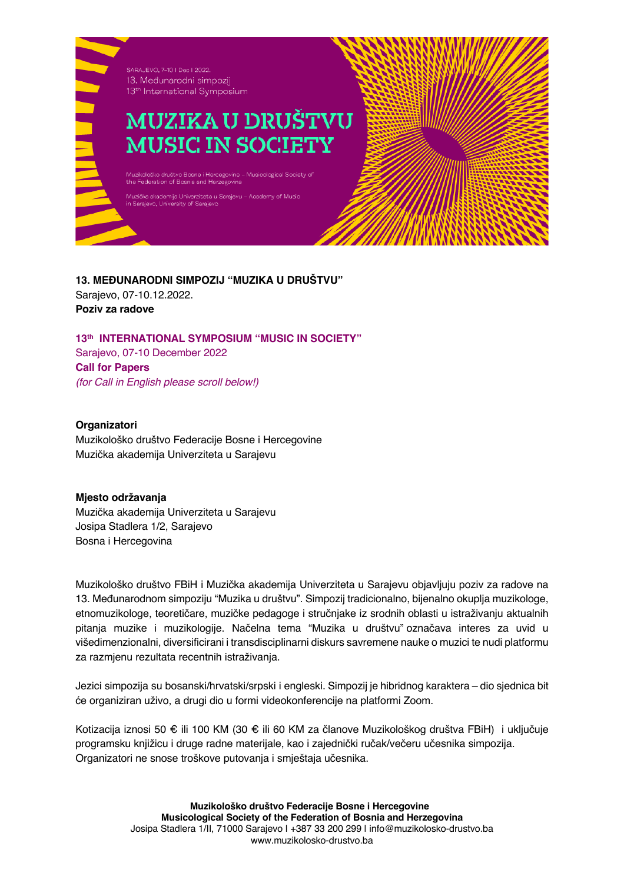

**13. MEĐUNARODNI SIMPOZIJ "MUZIKA U DRUŠTVU"** Sarajevo, 07-10.12.2022. **Poziv za radove**

**13th INTERNATIONAL SYMPOSIUM "MUSIC IN SOCIETY"** Sarajevo, 07-10 December 2022 **Call for Papers** *(for Call in English please scroll below!)*

**Organizatori**

Muzikološko društvo Federacije Bosne i Hercegovine Muzička akademija Univerziteta u Sarajevu

## **Mjesto održavanja**

Muzička akademija Univerziteta u Sarajevu Josipa Stadlera 1/2, Sarajevo Bosna i Hercegovina

Muzikološko društvo FBiH i Muzička akademija Univerziteta u Sarajevu objavljuju poziv za radove na 13. Međunarodnom simpoziju "Muzika u društvu". Simpozij tradicionalno, bijenalno okuplja muzikologe, etnomuzikologe, teoretičare, muzičke pedagoge i stručnjake iz srodnih oblasti u istraživanju aktualnih pitanja muzike i muzikologije. Načelna tema "Muzika u društvu" označava interes za uvid u višedimenzionalni, diversificirani i transdisciplinarni diskurs savremene nauke o muzici te nudi platformu za razmjenu rezultata recentnih istraživanja.

Jezici simpozija su bosanski/hrvatski/srpski i engleski. Simpozij je hibridnog karaktera – dio sjednica bit će organiziran uživo, a drugi dio u formi videokonferencije na platformi Zoom.

Kotizacija iznosi 50 € ili 100 KM (30 € ili 60 KM za članove Muzikološkog društva FBiH) i uključuje programsku knjižicu i druge radne materijale, kao i zajednički ručak/večeru učesnika simpozija. Organizatori ne snose troškove putovanja i smještaja učesnika.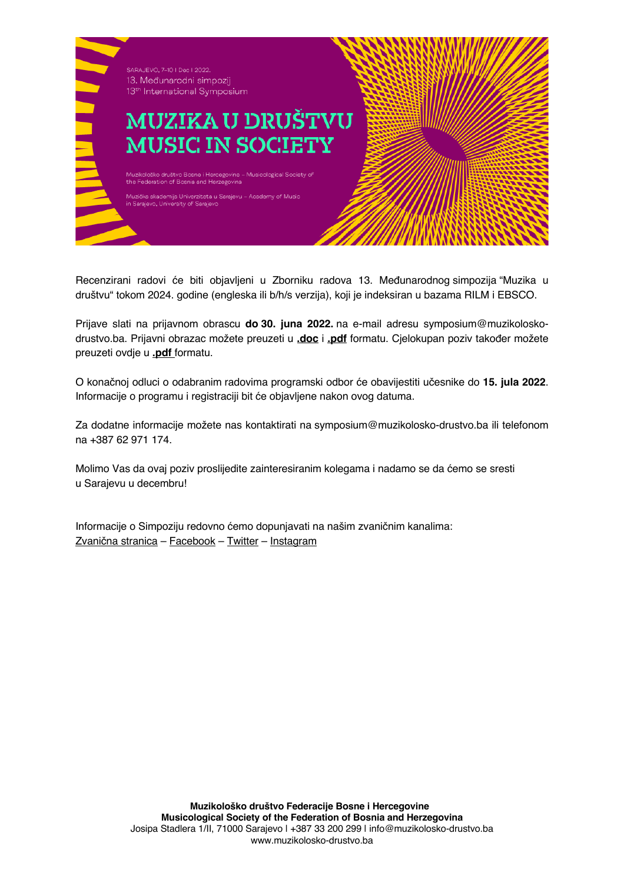

Recenzirani radovi će biti objavljeni u Zborniku radova 13. Međunarodnog simpozija "Muzika u društvu" tokom 2024. godine (engleska ili b/h/s verzija), koji je indeksiran u bazama RILM i EBSCO.

Prijave slati na prijavnom obrascu **do 30. juna 2022.** na e-mail adresu symposium@muzikoloskodrustvo.ba. Prijavni obrazac možete preuzeti u **.doc** i **.pdf** formatu. Cjelokupan poziv također možete preuzeti ovdje u **.pdf** formatu.

O konačnoj odluci o odabranim radovima programski odbor će obavijestiti učesnike do **15. jula 2022**. Informacije o programu i registraciji bit će objavljene nakon ovog datuma.

Za dodatne informacije možete nas kontaktirati na symposium@muzikolosko-drustvo.ba ili telefonom na +387 62 971 174.

Molimo Vas da ovaj poziv proslijedite zainteresiranim kolegama i nadamo se da ćemo se sresti u Sarajevu u decembru!

Informacije o Simpoziju redovno ćemo dopunjavati na našim zvaničnim kanalima: Zvanična stranica – Facebook – Twitter – Instagram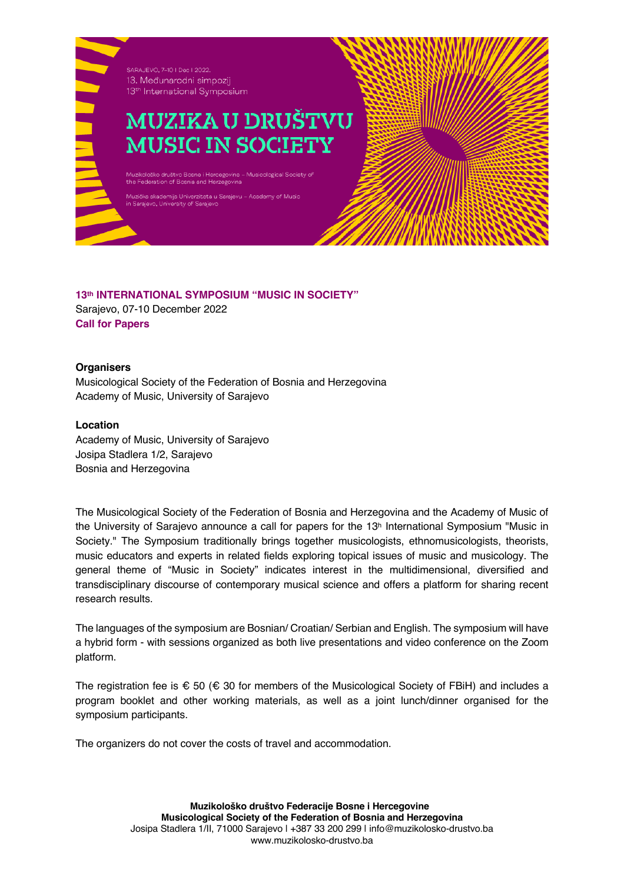

## **13th INTERNATIONAL SYMPOSIUM "MUSIC IN SOCIETY"**

Sarajevo, 07-10 December 2022 **Call for Papers**

## **Organisers**

Musicological Society of the Federation of Bosnia and Herzegovina Academy of Music, University of Sarajevo

## **Location**

Academy of Music, University of Sarajevo Josipa Stadlera 1/2, Sarajevo Bosnia and Herzegovina

The Musicological Society of the Federation of Bosnia and Herzegovina and the Academy of Music of the University of Sarajevo announce a call for papers for the 13<sup>h</sup> International Symposium "Music in Society." The Symposium traditionally brings together musicologists, ethnomusicologists, theorists, music educators and experts in related fields exploring topical issues of music and musicology. The general theme of "Music in Society" indicates interest in the multidimensional, diversified and transdisciplinary discourse of contemporary musical science and offers a platform for sharing recent research results.

The languages of the symposium are Bosnian/ Croatian/ Serbian and English. The symposium will have a hybrid form - with sessions organized as both live presentations and video conference on the Zoom platform.

The registration fee is  $\epsilon$  50 ( $\epsilon$  30 for members of the Musicological Society of FBiH) and includes a program booklet and other working materials, as well as a joint lunch/dinner organised for the symposium participants.

The organizers do not cover the costs of travel and accommodation.